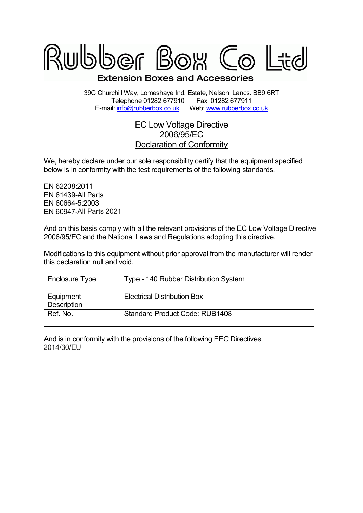

39C Churchill Way, Lomeshaye Ind. Estate, Nelson, Lancs. BB9 6RT Telephone 01282 677910 Fax 01282 677911<br>il: info@rubberbox.co.uk Web: www.rubberbox.co.uk E-mail: info@rubberbox.co.uk

## EC Low Voltage Directive 2006/95/EC Declaration of Conformity

We, hereby declare under our sole responsibility certify that the equipment specified below is in conformity with the test requirements of the following standards.

EN 62208:2011 EN 61439-All Parts EN 60664-5:2003 EN 60947-All Parts All Parts 2021

And on this basis comply with all the relevant provisions of the EC Low Voltage Directive 2006/95/EC and the National Laws and Regulations adopting this directive.

Modifications to this equipment without prior approval from the manufacturer will render this declaration null and void.

| Enclosure Type           | Type - 140 Rubber Distribution System |
|--------------------------|---------------------------------------|
| Equipment<br>Description | <b>Electrical Distribution Box</b>    |
| Ref. No.                 | <b>Standard Product Code: RUB1408</b> |

And is in conformity with the provisions of the following EEC Directives. 2014/30/EU